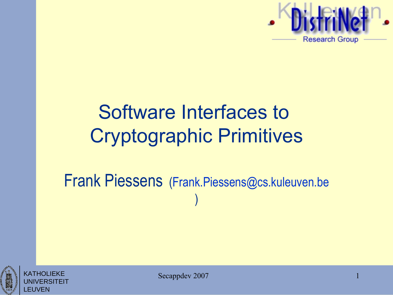

## Software Interfaces to Cryptographic Primitives

#### Frank Piessens [\(Frank.Piessens@cs.kuleuven.be](mailto:Frank.Piessens@cs.kuleuven.be) )





Secappdev 2007

1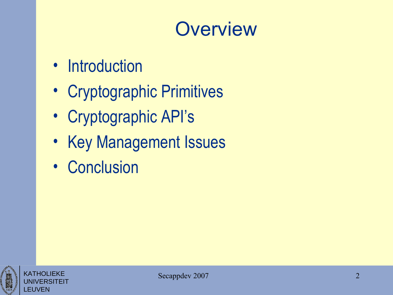#### **Overview**

- Introduction
- Cryptographic Primitives
- Cryptographic API's
- Key Management Issues
- Conclusion



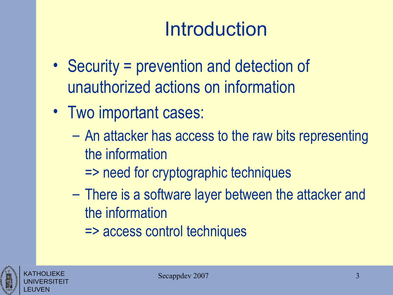# Introduction

- Security = prevention and detection of unauthorized actions on information
- Two important cases:
	- An attacker has access to the raw bits representing the information
		- => need for cryptographic techniques
	- There is a software layer between the attacker and the information
		- => access control techniques

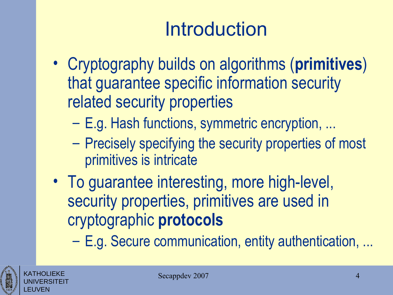# Introduction

- Cryptography builds on algorithms (**primitives**) that guarantee specific information security related security properties
	- E.g. Hash functions, symmetric encryption, ...
	- Precisely specifying the security properties of most primitives is intricate
- To guarantee interesting, more high-level, security properties, primitives are used in cryptographic **protocols**

– E.g. Secure communication, entity authentication, ...



KATHOLIEKE UNIVERSITEIT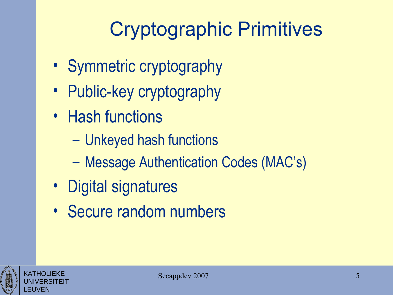# Cryptographic Primitives

- Symmetric cryptography
- Public-key cryptography
- Hash functions
	- Unkeyed hash functions
	- Message Authentication Codes (MAC's)
- Digital signatures
- Secure random numbers



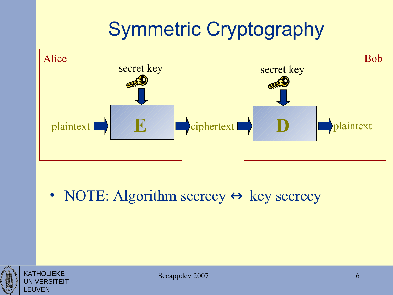# Symmetric Cryptography



• NOTE: Algorithm secrecy  $\leftrightarrow$  key secrecy



KATHOLIEKE UNIVERSITEIT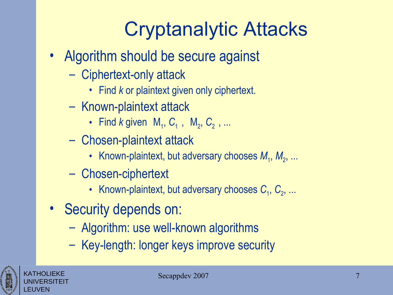# Cryptanalytic Attacks

- Algorithm should be secure against
	- Ciphertext-only attack
		- Find *k* or plaintext given only ciphertext.
	- Known-plaintext attack
		- Find *k* given  $\langle M_1, C_1 \rangle$ ,  $\langle M_2, C_2 \rangle$ , ...
	- Chosen-plaintext attack
		- Known-plaintext, but adversary chooses  $M_1, M_2, ...$
	- Chosen-ciphertext
		- Known-plaintext, but adversary chooses  $C_1, C_2, ...$
- Security depends on:
	- Algorithm: use well-known algorithms
	- Key-length: longer keys improve security



KATHOLIEKE UNIVERSITEIT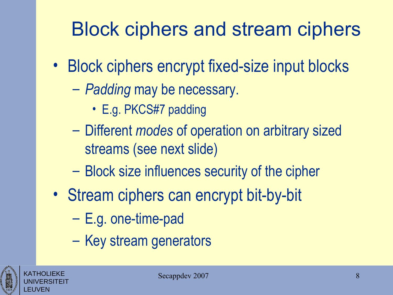# Block ciphers and stream ciphers

- Block ciphers encrypt fixed-size input blocks
	- *Padding* may be necessary.
		- E.g. PKCS#7 padding
	- Different *modes* of operation on arbitrary sized streams (see next slide)
	- Block size influences security of the cipher
- Stream ciphers can encrypt bit-by-bit
	- E.g. one-time-pad
	- Key stream generators

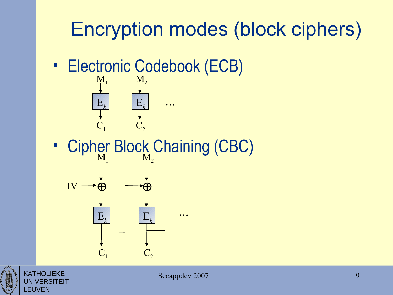# Encryption modes (block ciphers)

• Electronic Codebook (ECB)



• Cipher Block Chaining (CBC)





KATHOLIEKE

LEUVEN

**'ERSITEIT**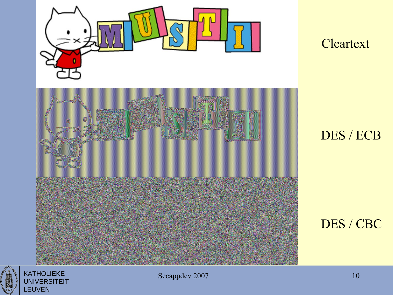

#### **Cleartext**

#### DES / ECB

#### DES / CBC



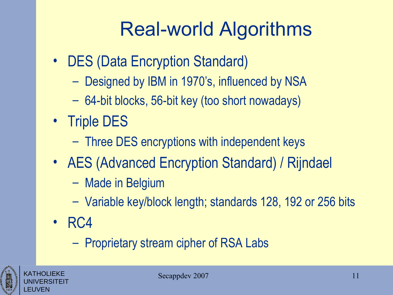# Real-world Algorithms

- DES (Data Encryption Standard)
	- Designed by IBM in 1970's, influenced by NSA
	- 64-bit blocks, 56-bit key (too short nowadays)
- Triple DES
	- Three DES encryptions with independent keys
- AES (Advanced Encryption Standard) / Rijndael
	- Made in Belgium
	- Variable key/block length; standards 128, 192 or 256 bits
- RC4
	- Proprietary stream cipher of RSA Labs



KATHOLIEKE UNIVERSITEIT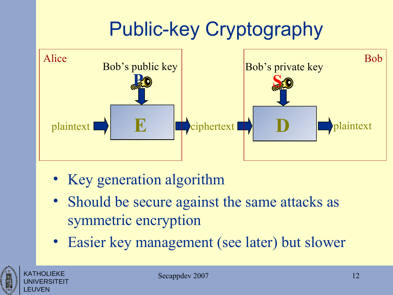# Public-key Cryptography



- Key generation algorithm
- Should be secure against the same attacks as symmetric encryption
- Easier key management (see later) but slower



KATHOLIEKE UNIVERSITEIT

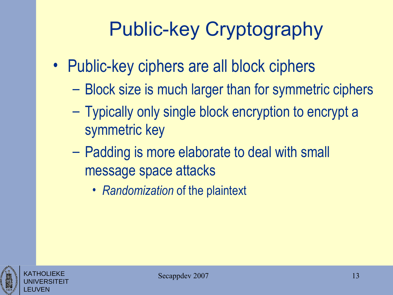# Public-key Cryptography

- Public-key ciphers are all block ciphers
	- Block size is much larger than for symmetric ciphers
	- Typically only single block encryption to encrypt a symmetric key
	- Padding is more elaborate to deal with small message space attacks
		- *Randomization* of the plaintext



KATHOLIEKE UNIVERSITEIT

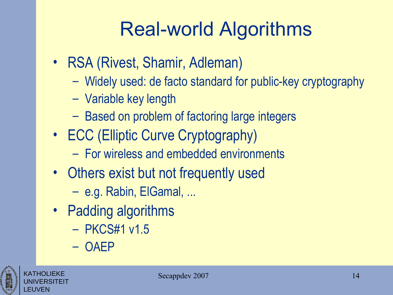# Real-world Algorithms

- RSA (Rivest, Shamir, Adleman)
	- Widely used: de facto standard for public-key cryptography
	- Variable key length
	- Based on problem of factoring large integers
- ECC (Elliptic Curve Cryptography)
	- For wireless and embedded environments
- Others exist but not frequently used
	- e.g. Rabin, ElGamal, ...
- Padding algorithms
	- PKCS#1 v1.5
	- OAEP



KATHOLIEKE UNIVERSITEIT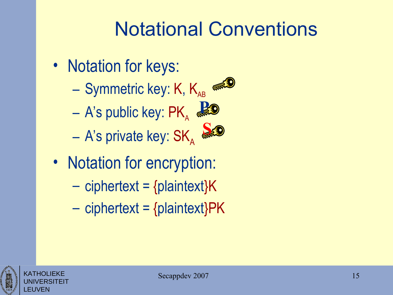#### Notational Conventions

- Notation for keys:
	- Symmetric key: K,  $K_{AB}$
	- $-$  A's public key:  $\mathsf{PK}_\mathsf{A}$ **P**<br>森

– A's private key:  $\mathsf{SK}_\mathsf{A}$ **S**

- Notation for encryption:
	- $-$  ciphertext = {plaintext} $K$
	- $-$  ciphertext = {plaintext}PK



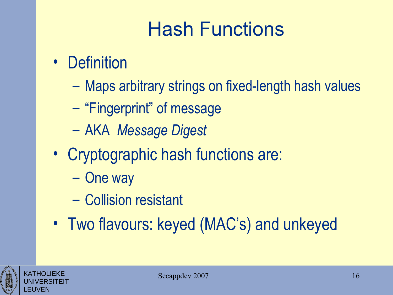# Hash Functions

- Definition
	- Maps arbitrary strings on fixed-length hash values
	- "Fingerprint" of message
	- AKA *Message Digest*
- Cryptographic hash functions are:
	- One way
	- Collision resistant
- Two flavours: keyed (MAC's) and unkeyed



KATHOLIEKE UNIVERSITEIT

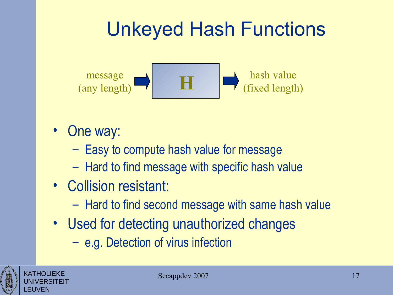# Unkeyed Hash Functions



- One way:
	- Easy to compute hash value for message
	- Hard to find message with specific hash value
- Collision resistant:
	- Hard to find second message with same hash value
- Used for detecting unauthorized changes
	- e.g. Detection of virus infection



KATHOLIEKE UNIVERSITEIT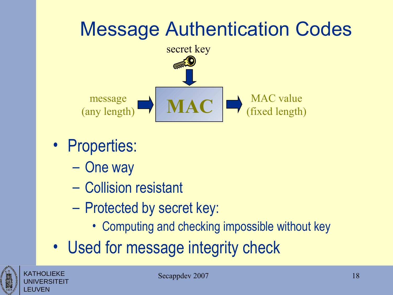# Message Authentication Codes



- Properties:
	- One way
	- Collision resistant
	- Protected by secret key:
		- Computing and checking impossible without key
- Used for message integrity check



KATHOLIEKE UNIVERSITEIT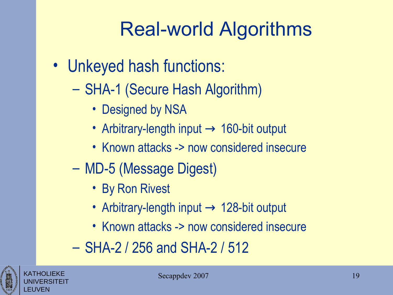# Real-world Algorithms

- Unkeyed hash functions:
	- SHA-1 (Secure Hash Algorithm)
		- Designed by NSA
		- Arbitrary-length input  $\rightarrow$  160-bit output
		- Known attacks -> now considered insecure
	- MD-5 (Message Digest)
		- By Ron Rivest
		- Arbitrary-length input  $\rightarrow$  128-bit output
		- Known attacks -> now considered insecure
	- SHA-2 / 256 and SHA-2 / 512



KATHOLIEKE UNIVERSITEIT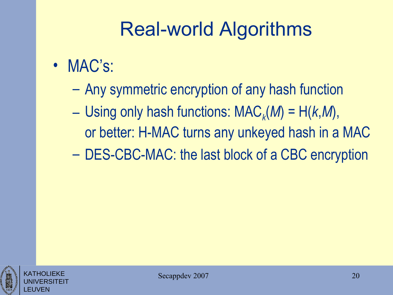## Real-world Algorithms

- MAC's:
	- Any symmetric encryption of any hash function
	- $-$  Using only hash functions: MAC<sub>k</sub>(M) = H(k,M), or better: H-MAC turns any unkeyed hash in a MAC
	- DES-CBC-MAC: the last block of a CBC encryption



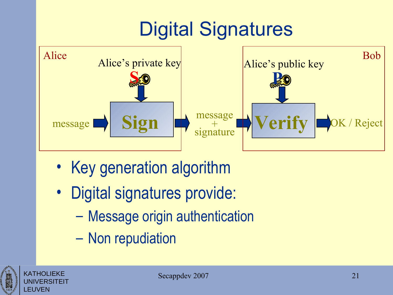# Digital Signatures



- Key generation algorithm
- Digital signatures provide:
	- Message origin authentication
	- Non repudiation

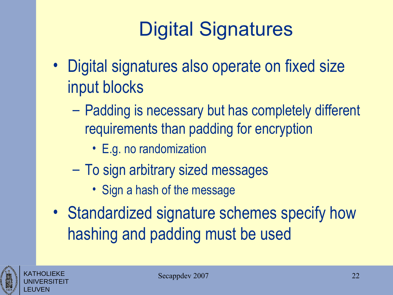# Digital Signatures

- Digital signatures also operate on fixed size input blocks
	- Padding is necessary but has completely different requirements than padding for encryption
		- E.g. no randomization
	- To sign arbitrary sized messages
		- Sign a hash of the message
- Standardized signature schemes specify how hashing and padding must be used



KATHOLIEKE UNIVERSITEIT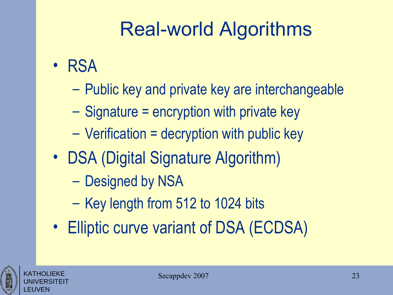# Real-world Algorithms

- RSA
	- Public key and private key are interchangeable
	- Signature = encryption with private key
	- Verification = decryption with public key
- DSA (Digital Signature Algorithm)
	- Designed by NSA
	- Key length from 512 to 1024 bits
- Elliptic curve variant of DSA (ECDSA)

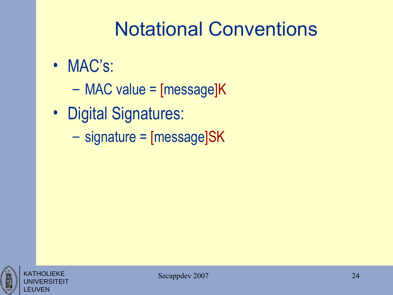## Notational Conventions

- MAC's:
	- MAC value = [message]K
- Digital Signatures:
	- signature = [message]SK



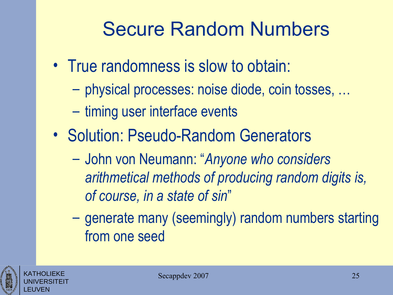#### Secure Random Numbers

- True randomness is slow to obtain:
	- physical processes: noise diode, coin tosses, …
	- timing user interface events
- Solution: Pseudo-Random Generators
	- John von Neumann: "*Anyone who considers arithmetical methods of producing random digits is, of course, in a state of sin*"
	- generate many (seemingly) random numbers starting from one seed



KATHOLIEKE UNIVERSITEIT

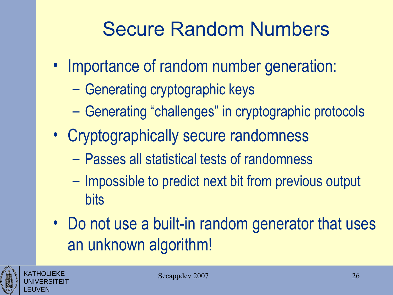## Secure Random Numbers

- Importance of random number generation:
	- Generating cryptographic keys
	- Generating "challenges" in cryptographic protocols
- Cryptographically secure randomness
	- Passes all statistical tests of randomness
	- Impossible to predict next bit from previous output bits
- Do not use a built-in random generator that uses an unknown algorithm!

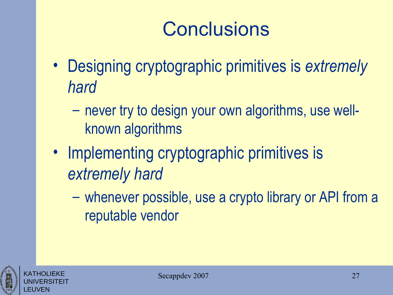# **Conclusions**

- Designing cryptographic primitives is *extremely hard*
	- never try to design your own algorithms, use wellknown algorithms
- Implementing cryptographic primitives is *extremely hard*
	- whenever possible, use a crypto library or API from a reputable vendor



![](_page_26_Picture_6.jpeg)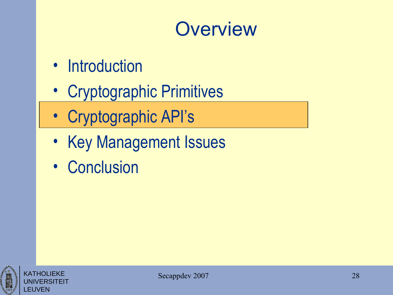#### **Overview**

- Introduction
- Cryptographic Primitives
- Cryptographic API's
- Key Management Issues
- Conclusion

![](_page_27_Picture_6.jpeg)

![](_page_27_Picture_7.jpeg)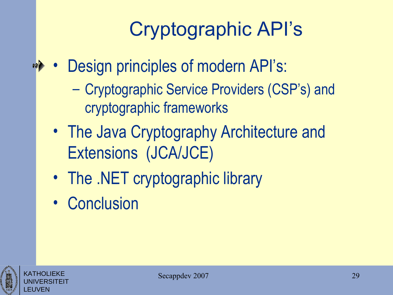# Cryptographic API's

- Design principles of modern API's: 10 多
	- Cryptographic Service Providers (CSP's) and cryptographic frameworks
	- The Java Cryptography Architecture and Extensions (JCA/JCE)
	- The .NET cryptographic library
	- Conclusion

![](_page_28_Picture_6.jpeg)

KATHOLIEKE UNIVERSITEIT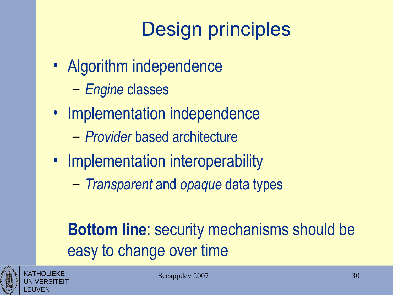# Design principles

- Algorithm independence
	- *Engine* classes
- Implementation independence
	- *Provider* based architecture
- Implementation interoperability
	- *Transparent* and *opaque* data types

#### **Bottom line**: security mechanisms should be easy to change over time

![](_page_29_Picture_8.jpeg)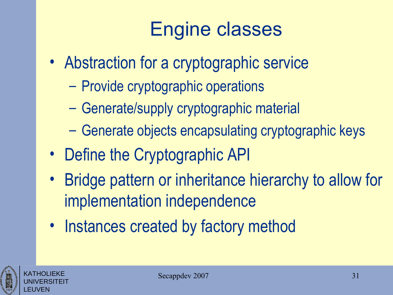# Engine classes

- Abstraction for a cryptographic service
	- Provide cryptographic operations
	- Generate/supply cryptographic material
	- Generate objects encapsulating cryptographic keys
- Define the Cryptographic API
- Bridge pattern or inheritance hierarchy to allow for implementation independence
- Instances created by factory method

![](_page_30_Picture_8.jpeg)

KATHOLIEKE UNIVERSITEIT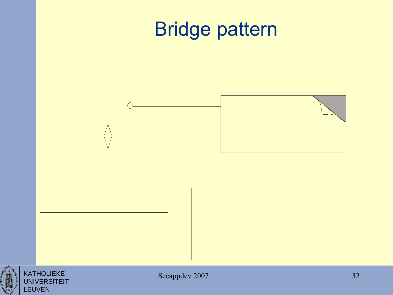# Bridge pattern

![](_page_31_Figure_1.jpeg)

![](_page_31_Picture_2.jpeg)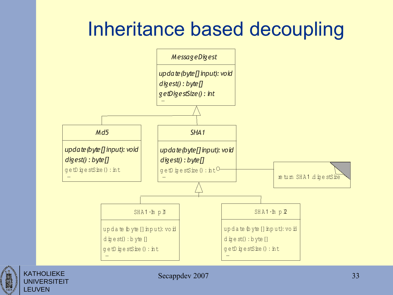#### Inheritance based decoupling

![](_page_32_Figure_1.jpeg)

![](_page_32_Picture_2.jpeg)

KATHOLIEKE **UNIVERSITEIT**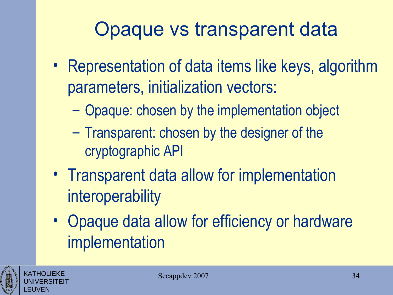#### Opaque vs transparent data

- Representation of data items like keys, algorithm parameters, initialization vectors:
	- Opaque: chosen by the implementation object
	- Transparent: chosen by the designer of the cryptographic API
- Transparent data allow for implementation interoperability
- Opaque data allow for efficiency or hardware implementation

![](_page_33_Picture_6.jpeg)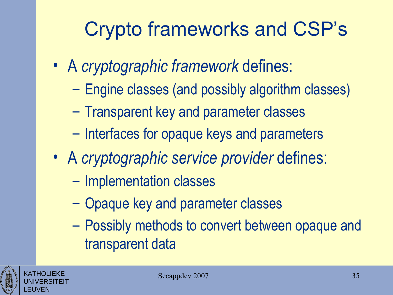# Crypto frameworks and CSP's

- A *cryptographic framework* defines:
	- Engine classes (and possibly algorithm classes)
	- Transparent key and parameter classes
	- Interfaces for opaque keys and parameters
- A *cryptographic service provider* defines:
	- Implementation classes
	- Opaque key and parameter classes
	- Possibly methods to convert between opaque and transparent data

![](_page_34_Picture_9.jpeg)

![](_page_34_Picture_10.jpeg)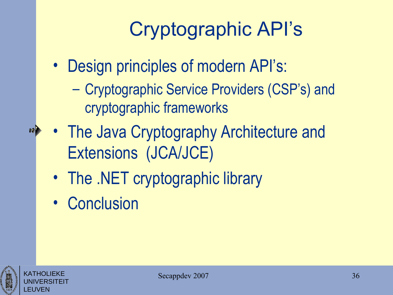# Cryptographic API's

- Design principles of modern API's:
	- Cryptographic Service Providers (CSP's) and cryptographic frameworks
- The Java Cryptography Architecture and Extensions (JCA/JCE)
	- The .NET cryptographic library
	- Conclusion

![](_page_35_Picture_6.jpeg)

KATHOLIEKE UNIVERSITEIT

LEUVEN

**10**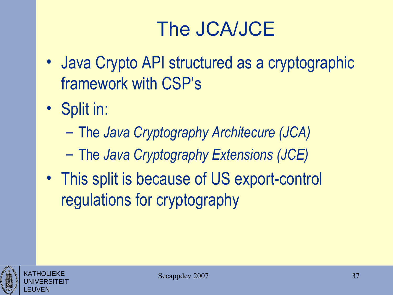# The JCA/JCE

- Java Crypto API structured as a cryptographic framework with CSP's
- Split in:
	- The *Java Cryptography Architecure (JCA)*
	- The *Java Cryptography Extensions (JCE)*
- This split is because of US export-control regulations for cryptography

![](_page_36_Picture_6.jpeg)

KATHOLIEKE UNIVERSITEIT

![](_page_36_Picture_7.jpeg)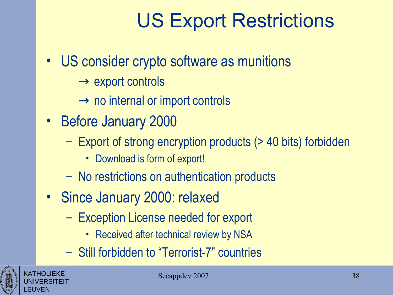## US Export Restrictions

- US consider crypto software as munitions
	- $\rightarrow$  export controls
	- $\rightarrow$  no internal or import controls
- Before January 2000
	- Export of strong encryption products (> 40 bits) forbidden
		- Download is form of export!
	- No restrictions on authentication products
- Since January 2000: relaxed
	- Exception License needed for export
		- Received after technical review by NSA
	- Still forbidden to "Terrorist-7" countries

![](_page_37_Picture_12.jpeg)

KATHOLIEKE UNIVERSITEIT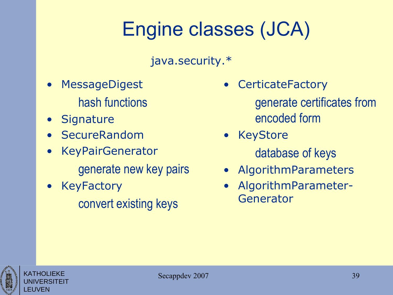# Engine classes (JCA)

java.security.\*

- **MessageDigest** hash functions
- Signature
- SecureRandom
- KeyPairGenerator generate new key pairs
- **KeyFactory** convert existing keys
- **CerticateFactory** 
	- generate certificates from encoded form
- KeyStore database of keys
- AlgorithmParameters
- AlgorithmParameter-Generator

![](_page_38_Picture_12.jpeg)

![](_page_38_Picture_13.jpeg)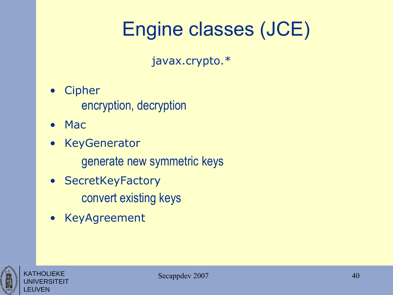# Engine classes (JCE)

javax.crypto.\*

- Cipher encryption, decryption
- Mac
- KeyGenerator
	- generate new symmetric keys
- SecretKeyFactory convert existing keys
- KeyAgreement

![](_page_39_Picture_8.jpeg)

![](_page_39_Picture_9.jpeg)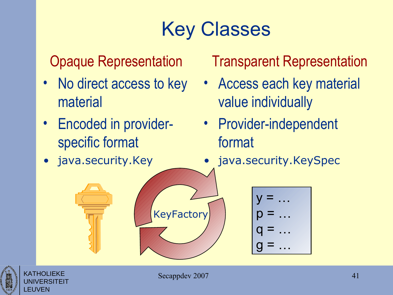# Key Classes

#### Opaque Representation

- No direct access to key material
- Encoded in providerspecific format
- java.security.Key

Transparent Representation

- Access each key material value individually
- Provider-independent format
- java.security.KeySpec

![](_page_40_Figure_9.jpeg)

![](_page_40_Picture_10.jpeg)

KATHOLIEKE UNIVERSITEIT

LEUVEN

**KeyFactory**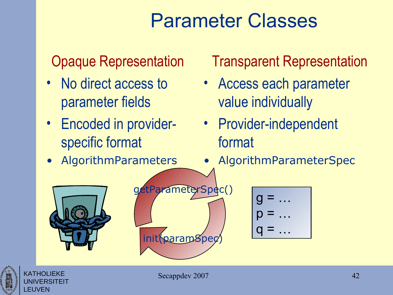### Parameter Classes

#### Opaque Representation

- No direct access to parameter fields
- Encoded in providerspecific format
- AlgorithmParameters

#### Transparent Representation

- Access each parameter value individually
- Provider-independent format
- AlgorithmParameterSpec

![](_page_41_Picture_9.jpeg)

![](_page_41_Figure_10.jpeg)

![](_page_41_Figure_11.jpeg)

KATHOLIEKE UNIVERSITEIT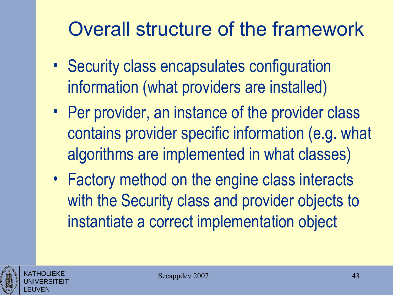## Overall structure of the framework

- Security class encapsulates configuration information (what providers are installed)
- Per provider, an instance of the provider class contains provider specific information (e.g. what algorithms are implemented in what classes)
- Factory method on the engine class interacts with the Security class and provider objects to instantiate a correct implementation object

![](_page_42_Picture_4.jpeg)

![](_page_42_Picture_5.jpeg)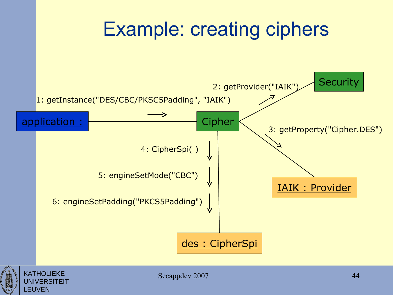![](_page_43_Figure_0.jpeg)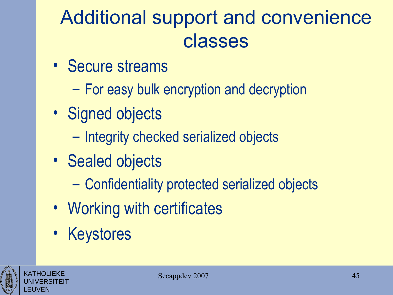# Additional support and convenience classes

- Secure streams
	- For easy bulk encryption and decryption
- Signed objects
	- Integrity checked serialized objects
- Sealed objects
	- Confidentiality protected serialized objects
- Working with certificates
- Keystores

![](_page_44_Picture_9.jpeg)

![](_page_44_Picture_10.jpeg)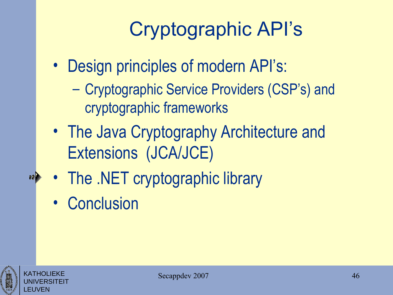# Cryptographic API's

- Design principles of modern API's:
	- Cryptographic Service Providers (CSP's) and cryptographic frameworks
- The Java Cryptography Architecture and Extensions (JCA/JCE)
- The .NET cryptographic library
- Conclusion

![](_page_45_Picture_6.jpeg)

10 D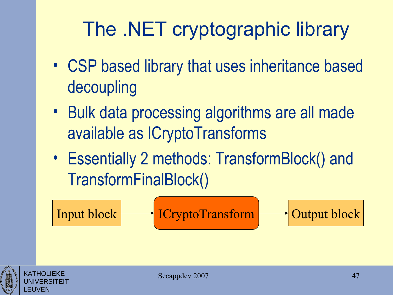# The .NET cryptographic library

- CSP based library that uses inheritance based decoupling
- Bulk data processing algorithms are all made available as ICryptoTransforms
- Essentially 2 methods: TransformBlock() and TransformFinalBlock()

Input block ICryptoTransform Output block

![](_page_46_Picture_5.jpeg)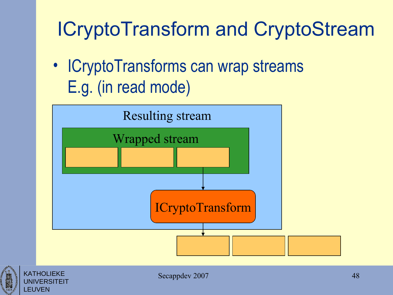# ICryptoTransform and CryptoStream

• ICryptoTransforms can wrap streams E.g. (in read mode)

![](_page_47_Figure_2.jpeg)

![](_page_47_Picture_3.jpeg)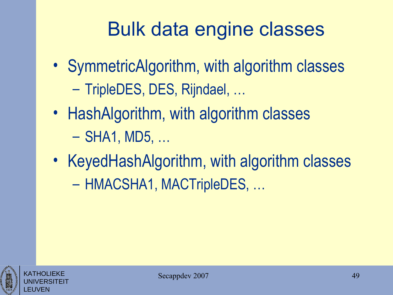## Bulk data engine classes

- SymmetricAlgorithm, with algorithm classes – TripleDES, DES, Rijndael, …
- HashAlgorithm, with algorithm classes – SHA1, MD5, …
- KeyedHashAlgorithm, with algorithm classes – HMACSHA1, MACTripleDES, …

![](_page_48_Picture_4.jpeg)

![](_page_48_Picture_5.jpeg)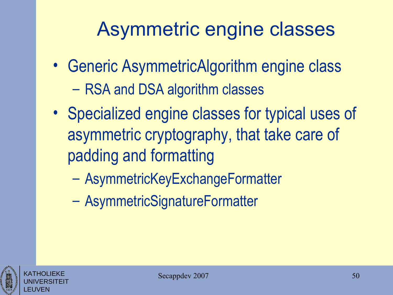#### Asymmetric engine classes

- Generic AsymmetricAlgorithm engine class – RSA and DSA algorithm classes
- Specialized engine classes for typical uses of asymmetric cryptography, that take care of padding and formatting
	- AsymmetricKeyExchangeFormatter
	- AsymmetricSignatureFormatter

![](_page_49_Picture_5.jpeg)

![](_page_49_Picture_6.jpeg)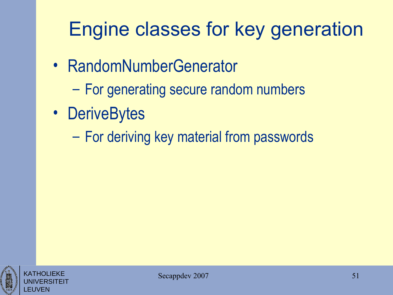# Engine classes for key generation

- RandomNumberGenerator
	- For generating secure random numbers
- DeriveBytes
	- For deriving key material from passwords

![](_page_50_Picture_5.jpeg)

![](_page_50_Picture_6.jpeg)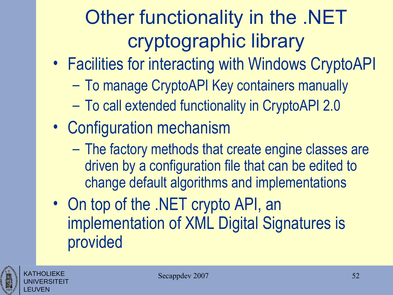# Other functionality in the .NET cryptographic library

- Facilities for interacting with Windows CryptoAPI
	- To manage CryptoAPI Key containers manually
	- To call extended functionality in CryptoAPI 2.0
- Configuration mechanism
	- The factory methods that create engine classes are driven by a configuration file that can be edited to change default algorithms and implementations
- On top of the .NET crypto API, an implementation of XML Digital Signatures is provided

![](_page_51_Picture_7.jpeg)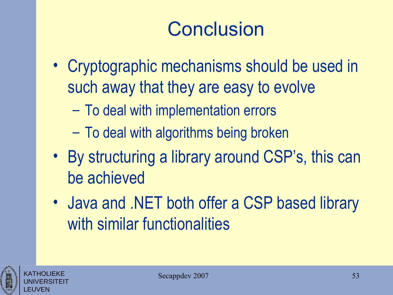# **Conclusion**

- Cryptographic mechanisms should be used in such away that they are easy to evolve
	- To deal with implementation errors
	- To deal with algorithms being broken
- By structuring a library around CSP's, this can be achieved
- Java and .NET both offer a CSP based library with similar functionalities

![](_page_52_Picture_6.jpeg)

KATHOLIEKE UNIVERSITEIT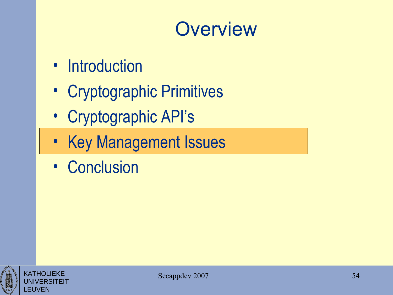#### **Overview**

- Introduction
- Cryptographic Primitives
- Cryptographic API's
- Key Management Issues
- Conclusion

![](_page_53_Picture_6.jpeg)

![](_page_53_Picture_7.jpeg)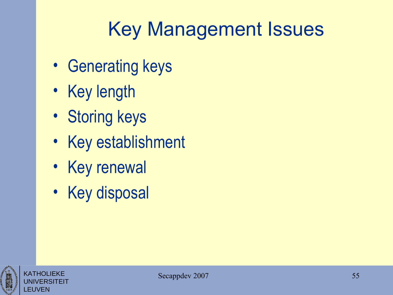# Key Management Issues

- Generating keys
- Key length
- Storing keys
- Key establishment
- Key renewal
- Key disposal

![](_page_54_Picture_7.jpeg)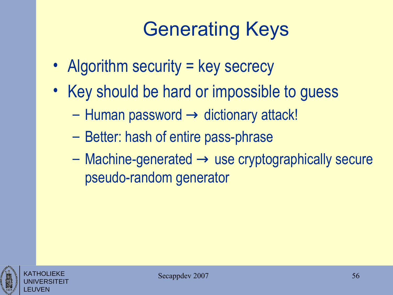# Generating Keys

- Algorithm security = key secrecy
- Key should be hard or impossible to guess
	- $-$  Human password  $\rightarrow$  dictionary attack!
	- Better: hash of entire pass-phrase
	- $-$  Machine-generated  $\rightarrow$  use cryptographically secure pseudo-random generator

![](_page_55_Picture_6.jpeg)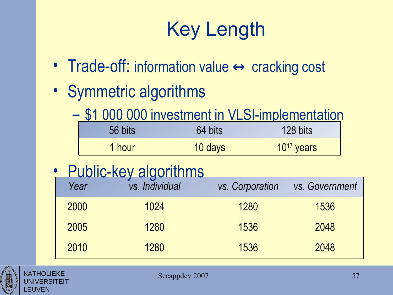# Key Length

- Trade-off: information value  $\leftrightarrow$  cracking cost
- Symmetric algorithms
	- \$1 000 000 investment in VLSI-implementation

| 56 bits | 64 bits | 128 bits        |
|---------|---------|-----------------|
| 1 hour  | 10 days | $10^{17}$ years |

• Public-key algorithms

| Year | <u>С КОНИ НИ НО</u><br>vs. Individual | vs. Corporation | vs. Government |
|------|---------------------------------------|-----------------|----------------|
| 2000 | 1024                                  | 1280            | 1536           |
| 2005 | 1280                                  | 1536            | 2048           |
| 2010 | 1280                                  | 1536            | 2048           |

![](_page_56_Picture_7.jpeg)

KATHOLIEKE UNIVERSITEIT EUVEN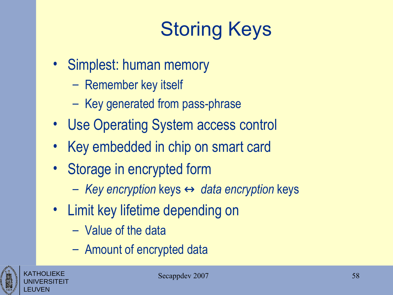# Storing Keys

- Simplest: human memory
	- Remember key itself
	- Key generated from pass-phrase
- Use Operating System access control
- Key embedded in chip on smart card
- Storage in encrypted form
	- *Key encryption* keys ↔ *data encryption* keys
- Limit key lifetime depending on
	- Value of the data
	- Amount of encrypted data

![](_page_57_Picture_11.jpeg)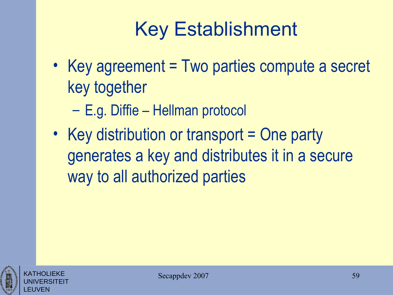# Key Establishment

- Key agreement = Two parties compute a secret key together
	- E.g. Diffie Hellman protocol
- Key distribution or transport = One party generates a key and distributes it in a secure way to all authorized parties

![](_page_58_Picture_4.jpeg)

![](_page_58_Picture_5.jpeg)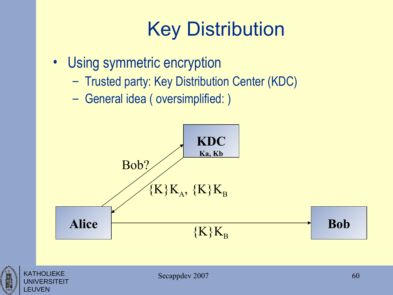# Key Distribution

- Using symmetric encryption
	- Trusted party: Key Distribution Center (KDC)
	- General idea ( oversimplified: )

![](_page_59_Figure_4.jpeg)

![](_page_59_Picture_5.jpeg)

FRSITFIT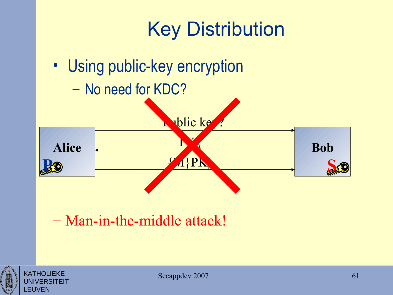![](_page_60_Figure_0.jpeg)

#### – Man-in-the-middle attack!

![](_page_60_Picture_2.jpeg)

KATHOLIEKE

LEUVEN

'FRSITFIT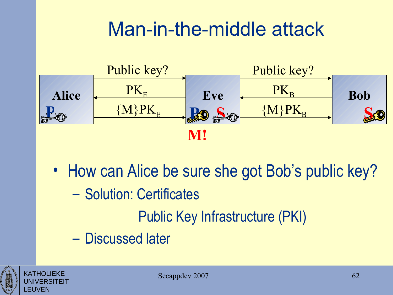#### Man-in-the-middle attack

![](_page_61_Figure_1.jpeg)

• How can Alice be sure she got Bob's public key? – Solution: Certificates Public Key Infrastructure (PKI) – Discussed later

![](_page_61_Picture_3.jpeg)

KATHOLIEKE UNIVERSITEIT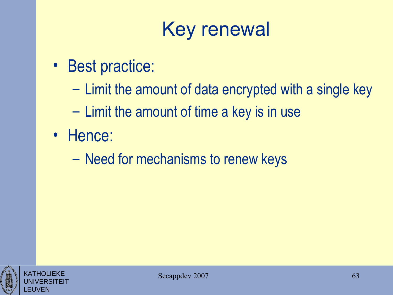# Key renewal

- Best practice:
	- Limit the amount of data encrypted with a single key
	- Limit the amount of time a key is in use
- Hence:
	- Need for mechanisms to renew keys

![](_page_62_Picture_6.jpeg)

![](_page_62_Picture_7.jpeg)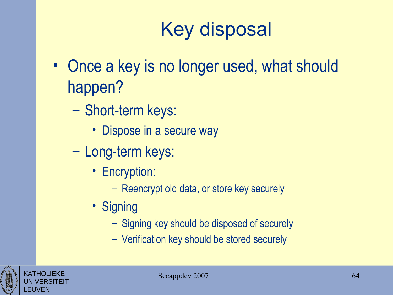# Key disposal

- Once a key is no longer used, what should happen?
	- Short-term keys:
		- Dispose in a secure way
	- Long-term keys:
		- Encryption:
			- Reencrypt old data, or store key securely
		- Signing
			- Signing key should be disposed of securely
			- Verification key should be stored securely

![](_page_63_Picture_10.jpeg)

![](_page_63_Picture_11.jpeg)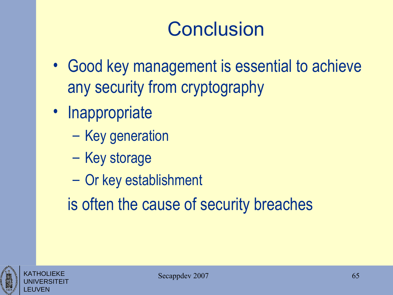## **Conclusion**

- Good key management is essential to achieve any security from cryptography
- Inappropriate
	- Key generation
	- Key storage
	- Or key establishment
	- is often the cause of security breaches

![](_page_64_Picture_7.jpeg)

KATHOLIEKE UNIVERSITEIT

![](_page_64_Picture_8.jpeg)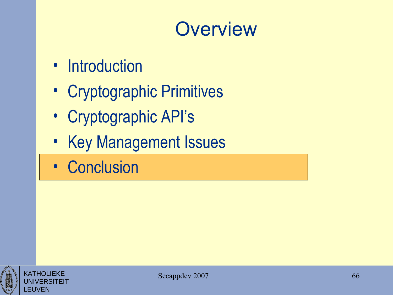#### **Overview**

- Introduction
- Cryptographic Primitives
- Cryptographic API's
- Key Management Issues
- Conclusion

![](_page_65_Picture_6.jpeg)